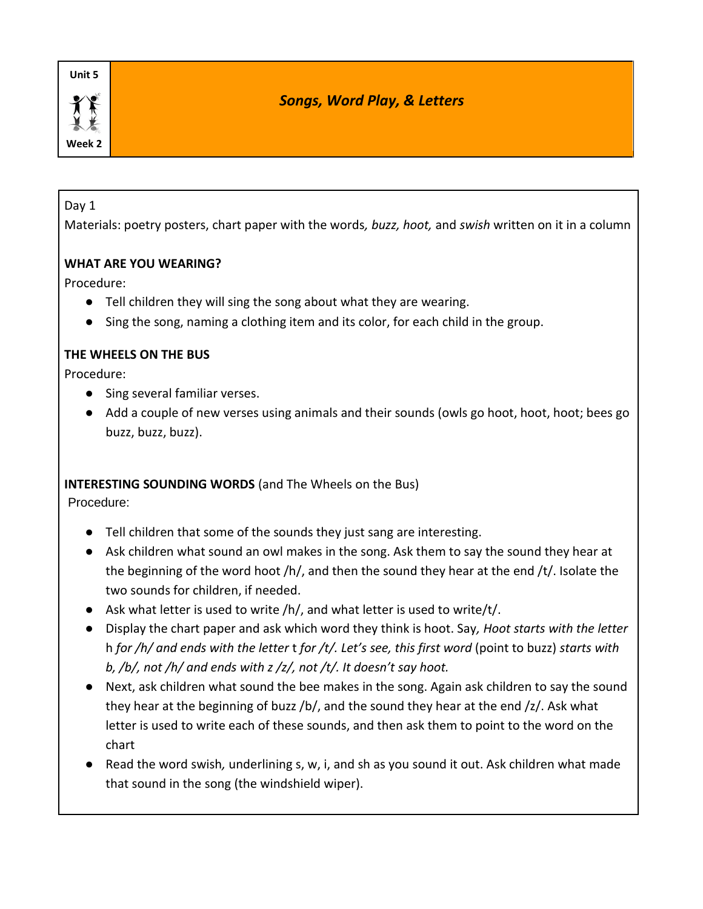**Week 2**

# *Songs, Word Play, & Letters*

#### Day 1

Materials: poetry posters, chart paper with the words*, buzz, hoot,* and *swish* written on it in a column

## **WHAT ARE YOU WEARING?**

Procedure:

- Tell children they will sing the song about what they are wearing.
- Sing the song, naming a clothing item and its color, for each child in the group.

## **THE WHEELS ON THE BUS**

Procedure:

- Sing several familiar verses.
- Add a couple of new verses using animals and their sounds (owls go hoot, hoot, hoot; bees go buzz, buzz, buzz).

#### **INTERESTING SOUNDING WORDS** (and The Wheels on the Bus)

Procedure:

- Tell children that some of the sounds they just sang are interesting.
- Ask children what sound an owl makes in the song. Ask them to say the sound they hear at the beginning of the word hoot /h/, and then the sound they hear at the end /t/. Isolate the two sounds for children, if needed.
- $\bullet$  Ask what letter is used to write /h/, and what letter is used to write/t/.
- Display the chart paper and ask which word they think is hoot. Say*, Hoot starts with the letter*  h *for /h/ and ends with the letter* t *for /t/. Let's see, this first word* (point to buzz) *starts with b, /b/, not /h/ and ends with z /z/, not /t/. It doesn't say hoot.*
- Next, ask children what sound the bee makes in the song. Again ask children to say the sound they hear at the beginning of buzz /b/, and the sound they hear at the end /z/. Ask what letter is used to write each of these sounds, and then ask them to point to the word on the chart
- Read the word swish, underlining s, w, i, and sh as you sound it out. Ask children what made that sound in the song (the windshield wiper).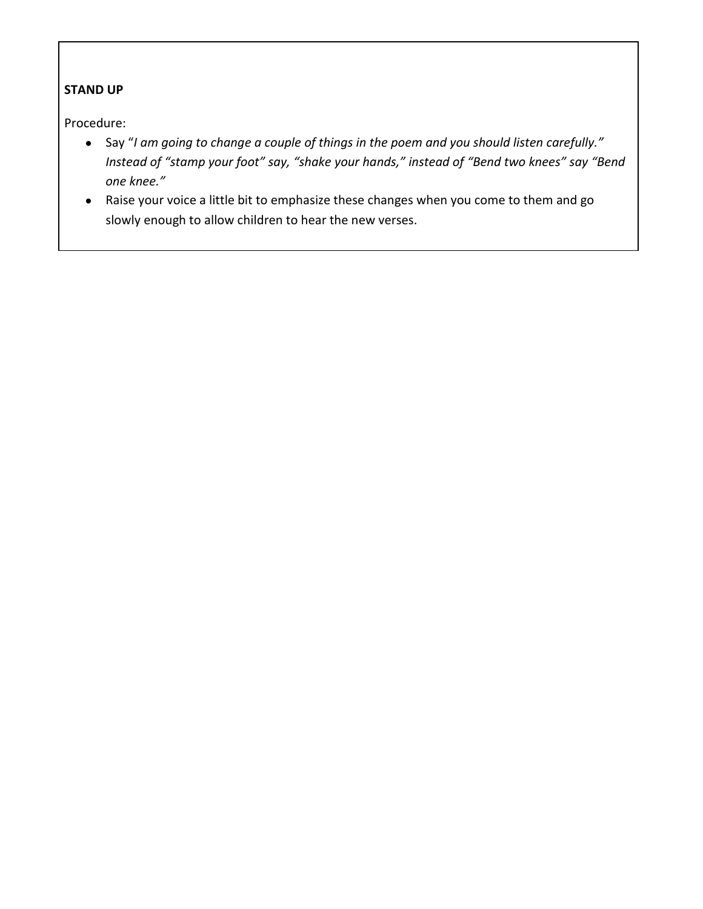# **STAND UP**

Procedure:

- Say "*I am going to change a couple of things in the poem and you should listen carefully." Instead of "stamp your foot" say, "shake your hands," instead of "Bend two knees" say "Bend one knee."*
- Raise your voice a little bit to emphasize these changes when you come to them and go slowly enough to allow children to hear the new verses.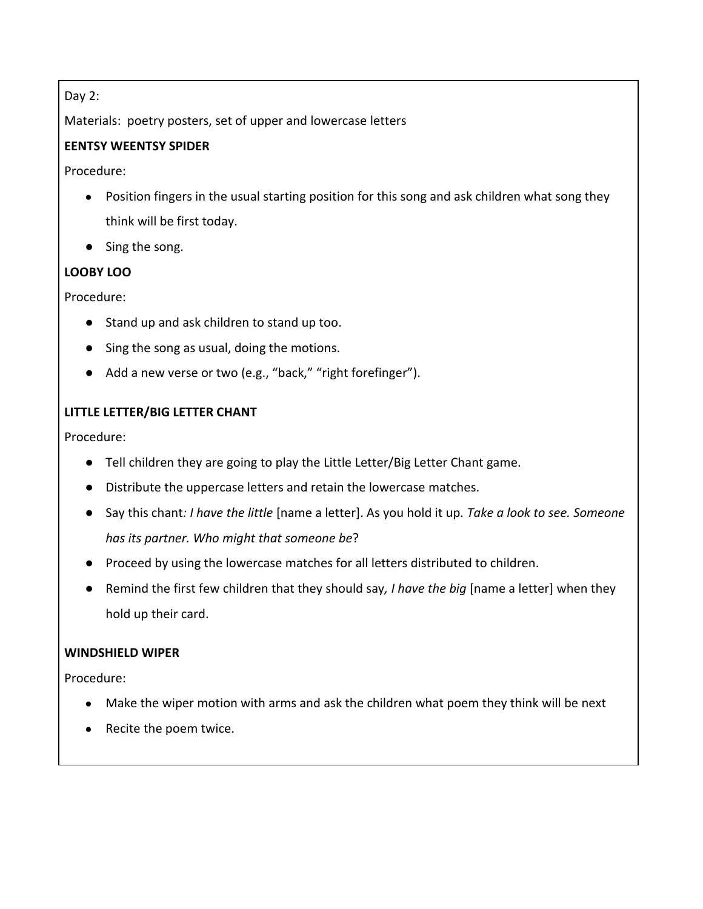## Day 2:

Materials: poetry posters, set of upper and lowercase letters

# **EENTSY WEENTSY SPIDER**

Procedure:

- Position fingers in the usual starting position for this song and ask children what song they think will be first today.
- Sing the song.

# **LOOBY LOO**

Procedure:

- Stand up and ask children to stand up too.
- Sing the song as usual, doing the motions.
- Add a new verse or two (e.g., "back," "right forefinger").

# **LITTLE LETTER/BIG LETTER CHANT**

Procedure:

- Tell children they are going to play the Little Letter/Big Letter Chant game.
- Distribute the uppercase letters and retain the lowercase matches.
- Say this chant*: I have the little* [name a letter]. As you hold it up*. Take a look to see. Someone has its partner. Who might that someone be*?
- Proceed by using the lowercase matches for all letters distributed to children.
- Remind the first few children that they should say*, I have the big* [name a letter] when they hold up their card.

#### **WINDSHIELD WIPER**

Procedure:

- Make the wiper motion with arms and ask the children what poem they think will be next
- Recite the poem twice.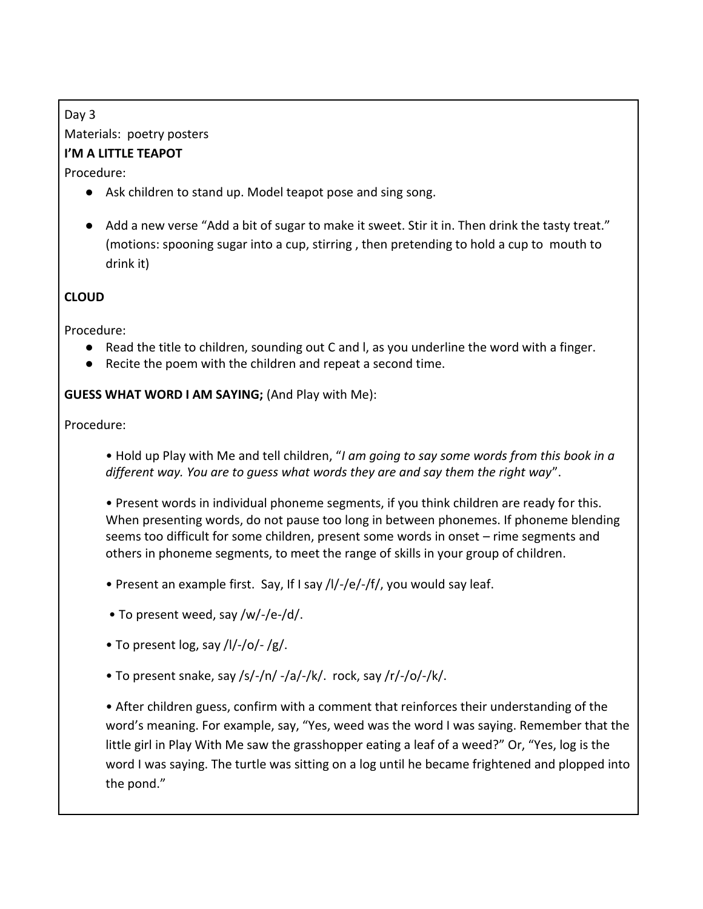# Day 3 Materials: poetry posters

# **I'M A LITTLE TEAPOT**

Procedure:

- Ask children to stand up. Model teapot pose and sing song.
- Add a new verse "Add a bit of sugar to make it sweet. Stir it in. Then drink the tasty treat." (motions: spooning sugar into a cup, stirring , then pretending to hold a cup to mouth to drink it)

# **CLOUD**

Procedure:

- Read the title to children, sounding out C and l, as you underline the word with a finger.
- Recite the poem with the children and repeat a second time.

**GUESS WHAT WORD I AM SAYING;** (And Play with Me):

Procedure:

• Hold up Play with Me and tell children, "*I am going to say some words from this book in a different way. You are to guess what words they are and say them the right way*".

• Present words in individual phoneme segments, if you think children are ready for this. When presenting words, do not pause too long in between phonemes. If phoneme blending seems too difficult for some children, present some words in onset – rime segments and others in phoneme segments, to meet the range of skills in your group of children.

- Present an example first. Say, If I say /l/-/e/-/f/, you would say leaf.
- To present weed, say /w/-/e-/d/.
- To present  $log$ , say  $\frac{1}{-}$  /o/- $\frac{1}{g}$ .
- To present snake, say /s/-/n/ -/a/-/k/. rock, say /r/-/o/-/k/.

• After children guess, confirm with a comment that reinforces their understanding of the word's meaning. For example, say, "Yes, weed was the word I was saying. Remember that the little girl in Play With Me saw the grasshopper eating a leaf of a weed?" Or, "Yes, log is the word I was saying. The turtle was sitting on a log until he became frightened and plopped into the pond."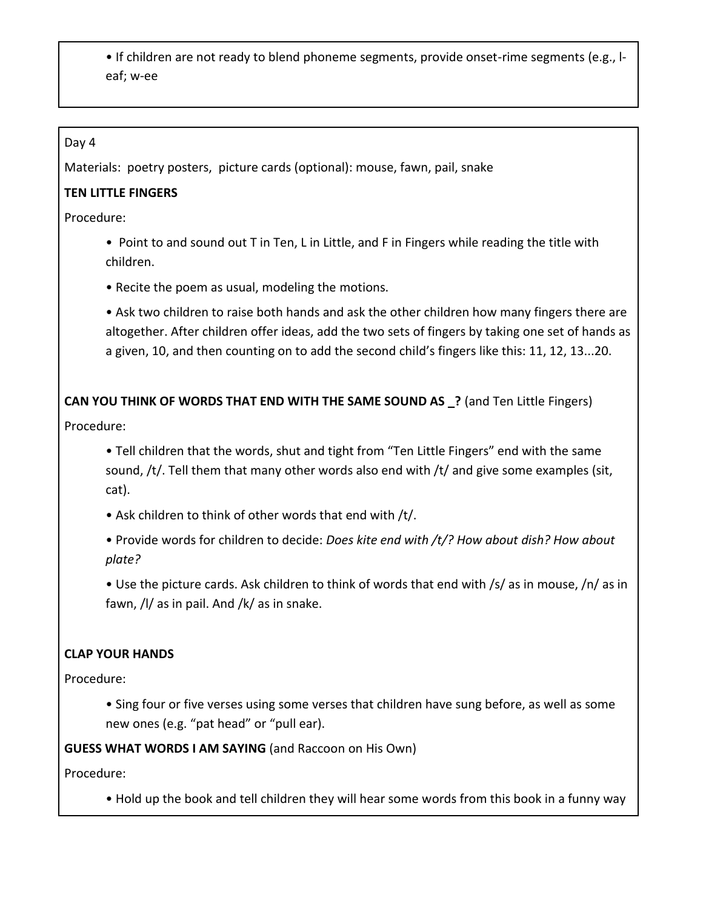• If children are not ready to blend phoneme segments, provide onset-rime segments (e.g., leaf; w-ee

#### Day 4

Materials: poetry posters, picture cards (optional): mouse, fawn, pail, snake

# **TEN LITTLE FINGERS**

Procedure:

• Point to and sound out T in Ten, L in Little, and F in Fingers while reading the title with children.

• Recite the poem as usual, modeling the motions.

• Ask two children to raise both hands and ask the other children how many fingers there are altogether. After children offer ideas, add the two sets of fingers by taking one set of hands as a given, 10, and then counting on to add the second child's fingers like this: 11, 12, 13...20.

**CAN YOU THINK OF WORDS THAT END WITH THE SAME SOUND AS \_?** (and Ten Little Fingers)

Procedure:

• Tell children that the words, shut and tight from "Ten Little Fingers" end with the same sound, /t/. Tell them that many other words also end with /t/ and give some examples (sit, cat).

• Ask children to think of other words that end with /t/.

• Provide words for children to decide: *Does kite end with /t/? How about dish? How about plate?*

• Use the picture cards. Ask children to think of words that end with /s/ as in mouse, /n/ as in fawn, /l/ as in pail. And /k/ as in snake.

# **CLAP YOUR HANDS**

Procedure:

• Sing four or five verses using some verses that children have sung before, as well as some new ones (e.g. "pat head" or "pull ear).

**GUESS WHAT WORDS I AM SAYING** (and Raccoon on His Own)

Procedure:

• Hold up the book and tell children they will hear some words from this book in a funny way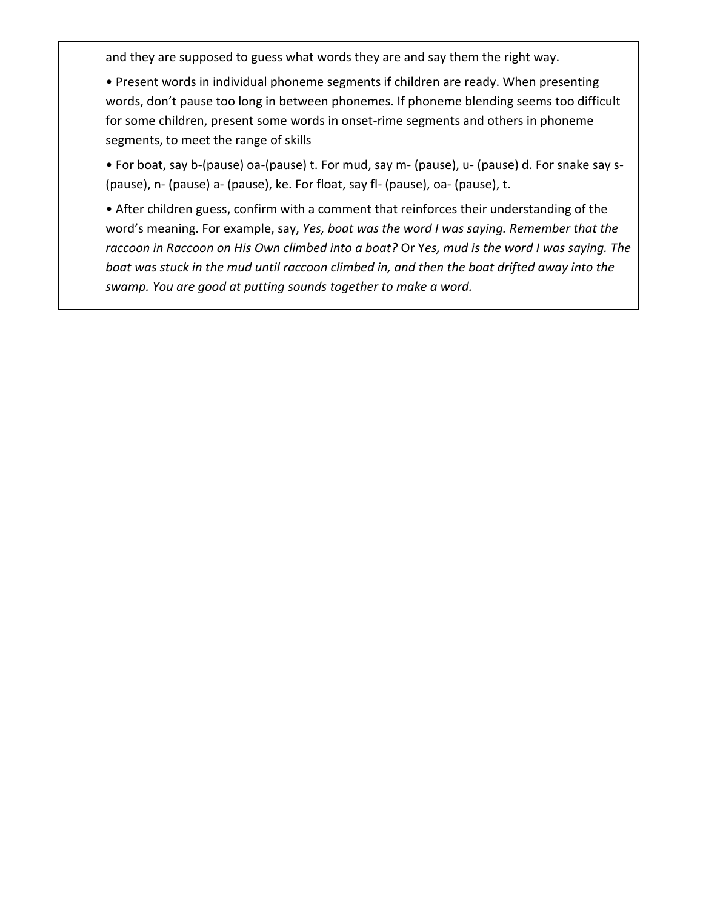and they are supposed to guess what words they are and say them the right way.

• Present words in individual phoneme segments if children are ready. When presenting words, don't pause too long in between phonemes. If phoneme blending seems too difficult for some children, present some words in onset-rime segments and others in phoneme segments, to meet the range of skills

• For boat, say b-(pause) oa-(pause) t. For mud, say m- (pause), u- (pause) d. For snake say s- (pause), n- (pause) a- (pause), ke. For float, say fl- (pause), oa- (pause), t.

• After children guess, confirm with a comment that reinforces their understanding of the word's meaning. For example, say, *Yes, boat was the word I was saying. Remember that the raccoon in Raccoon on His Own climbed into a boat?* Or Y*es, mud is the word I was saying. The boat was stuck in the mud until raccoon climbed in, and then the boat drifted away into the swamp. You are good at putting sounds together to make a word.*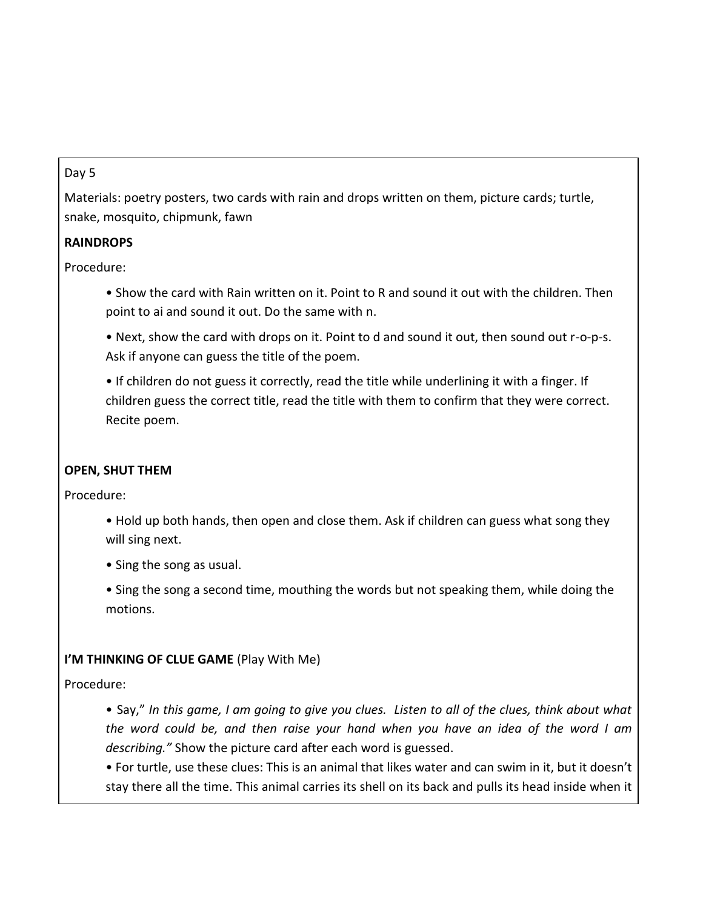#### Day 5

Materials: poetry posters, two cards with rain and drops written on them, picture cards; turtle, snake, mosquito, chipmunk, fawn

#### **RAINDROPS**

Procedure:

• Show the card with Rain written on it. Point to R and sound it out with the children. Then point to ai and sound it out. Do the same with n.

• Next, show the card with drops on it. Point to d and sound it out, then sound out r-o-p-s. Ask if anyone can guess the title of the poem.

• If children do not guess it correctly, read the title while underlining it with a finger. If children guess the correct title, read the title with them to confirm that they were correct. Recite poem.

#### **OPEN, SHUT THEM**

Procedure:

• Hold up both hands, then open and close them. Ask if children can guess what song they will sing next.

• Sing the song as usual.

• Sing the song a second time, mouthing the words but not speaking them, while doing the motions.

#### **I'M THINKING OF CLUE GAME** (Play With Me)

Procedure:

• Say," *In this game, I am going to give you clues. Listen to all of the clues, think about what the word could be, and then raise your hand when you have an idea of the word I am describing."* Show the picture card after each word is guessed.

• For turtle, use these clues: This is an animal that likes water and can swim in it, but it doesn't stay there all the time. This animal carries its shell on its back and pulls its head inside when it